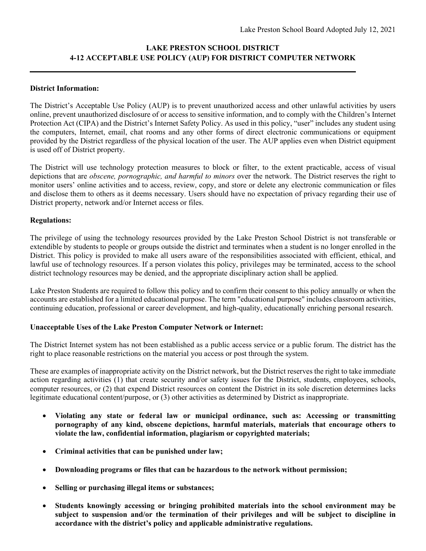# **LAKE PRESTON SCHOOL DISTRICT 4-12 ACCEPTABLE USE POLICY (AUP) FOR DISTRICT COMPUTER NETWORK**

## **District Information:**

The District's Acceptable Use Policy (AUP) is to prevent unauthorized access and other unlawful activities by users online, prevent unauthorized disclosure of or access to sensitive information, and to comply with the Children's Internet Protection Act (CIPA) and the District's Internet Safety Policy. As used in this policy, "user" includes any student using the computers, Internet, email, chat rooms and any other forms of direct electronic communications or equipment provided by the District regardless of the physical location of the user. The AUP applies even when District equipment is used off of District property.

The District will use technology protection measures to block or filter, to the extent practicable, access of visual depictions that are *obscene, pornographic, and harmful to minors* over the network. The District reserves the right to monitor users' online activities and to access, review, copy, and store or delete any electronic communication or files and disclose them to others as it deems necessary. Users should have no expectation of privacy regarding their use of District property, network and/or Internet access or files.

## **Regulations:**

The privilege of using the technology resources provided by the Lake Preston School District is not transferable or extendible by students to people or groups outside the district and terminates when a student is no longer enrolled in the District. This policy is provided to make all users aware of the responsibilities associated with efficient, ethical, and lawful use of technology resources. If a person violates this policy, privileges may be terminated, access to the school district technology resources may be denied, and the appropriate disciplinary action shall be applied.

Lake Preston Students are required to follow this policy and to confirm their consent to this policy annually or when the accounts are established for a limited educational purpose. The term "educational purpose" includes classroom activities, continuing education, professional or career development, and high-quality, educationally enriching personal research.

# **Unacceptable Uses of the Lake Preston Computer Network or Internet:**

The District Internet system has not been established as a public access service or a public forum. The district has the right to place reasonable restrictions on the material you access or post through the system.

These are examples of inappropriate activity on the District network, but the District reserves the right to take immediate action regarding activities (1) that create security and/or safety issues for the District, students, employees, schools, computer resources, or (2) that expend District resources on content the District in its sole discretion determines lacks legitimate educational content/purpose, or (3) other activities as determined by District as inappropriate.

- **Violating any state or federal law or municipal ordinance, such as: Accessing or transmitting pornography of any kind, obscene depictions, harmful materials, materials that encourage others to violate the law, confidential information, plagiarism or copyrighted materials;**
- **Criminal activities that can be punished under law;**
- **Downloading programs or files that can be hazardous to the network without permission;**
- **Selling or purchasing illegal items or substances;**
- **Students knowingly accessing or bringing prohibited materials into the school environment may be subject to suspension and/or the termination of their privileges and will be subject to discipline in accordance with the district's policy and applicable administrative regulations.**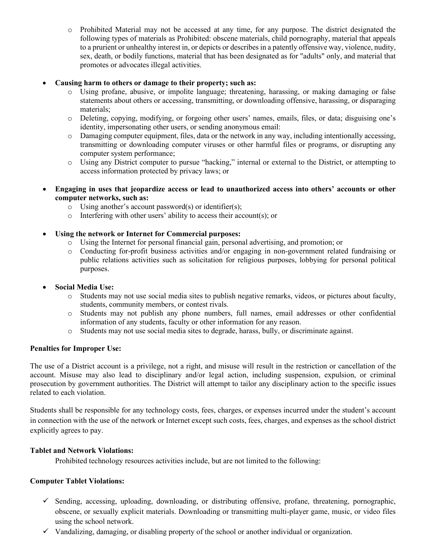o Prohibited Material may not be accessed at any time, for any purpose. The district designated the following types of materials as Prohibited: obscene materials, child pornography, material that appeals to a prurient or unhealthy interest in, or depicts or describes in a patently offensive way, violence, nudity, sex, death, or bodily functions, material that has been designated as for "adults" only, and material that promotes or advocates illegal activities.

## • **Causing harm to others or damage to their property; such as:**

- o Using profane, abusive, or impolite language; threatening, harassing, or making damaging or false statements about others or accessing, transmitting, or downloading offensive, harassing, or disparaging materials;
- o Deleting, copying, modifying, or forgoing other users' names, emails, files, or data; disguising one's identity, impersonating other users, or sending anonymous email:
- o Damaging computer equipment, files, data or the network in any way, including intentionally accessing, transmitting or downloading computer viruses or other harmful files or programs, or disrupting any computer system performance;
- o Using any District computer to pursue "hacking," internal or external to the District, or attempting to access information protected by privacy laws; or
- **Engaging in uses that jeopardize access or lead to unauthorized access into others' accounts or other computer networks, such as:**
	- o Using another's account password(s) or identifier(s);
	- $\circ$  Interfering with other users' ability to access their account(s); or

# • **Using the network or Internet for Commercial purposes:**

- o Using the Internet for personal financial gain, personal advertising, and promotion; or
- o Conducting for-profit business activities and/or engaging in non-government related fundraising or public relations activities such as solicitation for religious purposes, lobbying for personal political purposes.

#### • **Social Media Use:**

- o Students may not use social media sites to publish negative remarks, videos, or pictures about faculty, students, community members, or contest rivals.
- o Students may not publish any phone numbers, full names, email addresses or other confidential information of any students, faculty or other information for any reason.
- o Students may not use social media sites to degrade, harass, bully, or discriminate against.

#### **Penalties for Improper Use:**

The use of a District account is a privilege, not a right, and misuse will result in the restriction or cancellation of the account. Misuse may also lead to disciplinary and/or legal action, including suspension, expulsion, or criminal prosecution by government authorities. The District will attempt to tailor any disciplinary action to the specific issues related to each violation.

Students shall be responsible for any technology costs, fees, charges, or expenses incurred under the student's account in connection with the use of the network or Internet except such costs, fees, charges, and expenses as the school district explicitly agrees to pay.

#### **Tablet and Network Violations:**

Prohibited technology resources activities include, but are not limited to the following:

#### **Computer Tablet Violations:**

- $\checkmark$  Sending, accessing, uploading, downloading, or distributing offensive, profane, threatening, pornographic, obscene, or sexually explicit materials. Downloading or transmitting multi-player game, music, or video files using the school network.
- $\checkmark$  Vandalizing, damaging, or disabling property of the school or another individual or organization.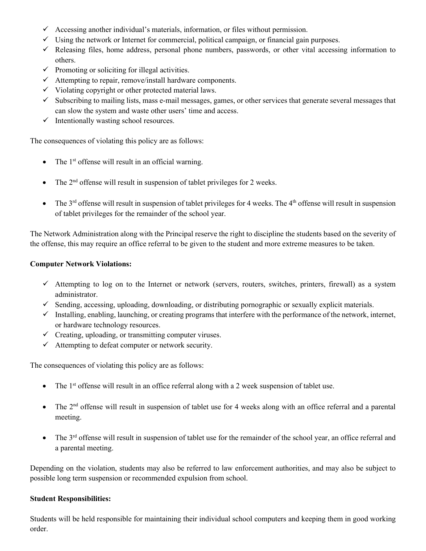- $\checkmark$  Accessing another individual's materials, information, or files without permission.
- $\checkmark$  Using the network or Internet for commercial, political campaign, or financial gain purposes.
- $\checkmark$  Releasing files, home address, personal phone numbers, passwords, or other vital accessing information to others.
- $\checkmark$  Promoting or soliciting for illegal activities.
- $\checkmark$  Attempting to repair, remove/install hardware components.
- $\checkmark$  Violating copyright or other protected material laws.
- $\checkmark$  Subscribing to mailing lists, mass e-mail messages, games, or other services that generate several messages that can slow the system and waste other users' time and access.
- $\checkmark$  Intentionally wasting school resources.

The consequences of violating this policy are as follows:

- The  $1<sup>st</sup>$  offense will result in an official warning.
- The  $2<sup>nd</sup>$  offense will result in suspension of tablet privileges for 2 weeks.
- The  $3<sup>rd</sup>$  offense will result in suspension of tablet privileges for 4 weeks. The  $4<sup>th</sup>$  offense will result in suspension of tablet privileges for the remainder of the school year.

The Network Administration along with the Principal reserve the right to discipline the students based on the severity of the offense, this may require an office referral to be given to the student and more extreme measures to be taken.

## **Computer Network Violations:**

- $\checkmark$  Attempting to log on to the Internet or network (servers, routers, switches, printers, firewall) as a system administrator.
- $\checkmark$  Sending, accessing, uploading, downloading, or distributing pornographic or sexually explicit materials.
- $\checkmark$  Installing, enabling, launching, or creating programs that interfere with the performance of the network, internet, or hardware technology resources.
- $\checkmark$  Creating, uploading, or transmitting computer viruses.
- $\checkmark$  Attempting to defeat computer or network security.

The consequences of violating this policy are as follows:

- The  $1<sup>st</sup>$  offense will result in an office referral along with a 2 week suspension of tablet use.
- The  $2<sup>nd</sup>$  offense will result in suspension of tablet use for 4 weeks along with an office referral and a parental meeting.
- The  $3<sup>rd</sup>$  offense will result in suspension of tablet use for the remainder of the school year, an office referral and a parental meeting.

Depending on the violation, students may also be referred to law enforcement authorities, and may also be subject to possible long term suspension or recommended expulsion from school.

#### **Student Responsibilities:**

Students will be held responsible for maintaining their individual school computers and keeping them in good working order.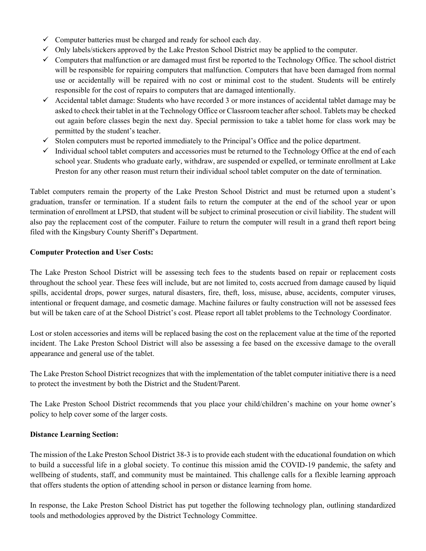- $\checkmark$  Computer batteries must be charged and ready for school each day.
- $\checkmark$  Only labels/stickers approved by the Lake Preston School District may be applied to the computer.
- $\checkmark$  Computers that malfunction or are damaged must first be reported to the Technology Office. The school district will be responsible for repairing computers that malfunction. Computers that have been damaged from normal use or accidentally will be repaired with no cost or minimal cost to the student. Students will be entirely responsible for the cost of repairs to computers that are damaged intentionally.
- $\checkmark$  Accidental tablet damage: Students who have recorded 3 or more instances of accidental tablet damage may be asked to check their tablet in at the Technology Office or Classroom teacher after school. Tablets may be checked out again before classes begin the next day. Special permission to take a tablet home for class work may be permitted by the student's teacher.
- $\checkmark$  Stolen computers must be reported immediately to the Principal's Office and the police department.
- $\checkmark$  Individual school tablet computers and accessories must be returned to the Technology Office at the end of each school year. Students who graduate early, withdraw, are suspended or expelled, or terminate enrollment at Lake Preston for any other reason must return their individual school tablet computer on the date of termination.

Tablet computers remain the property of the Lake Preston School District and must be returned upon a student's graduation, transfer or termination. If a student fails to return the computer at the end of the school year or upon termination of enrollment at LPSD, that student will be subject to criminal prosecution or civil liability. The student will also pay the replacement cost of the computer. Failure to return the computer will result in a grand theft report being filed with the Kingsbury County Sheriff's Department.

## **Computer Protection and User Costs:**

The Lake Preston School District will be assessing tech fees to the students based on repair or replacement costs throughout the school year. These fees will include, but are not limited to, costs accrued from damage caused by liquid spills, accidental drops, power surges, natural disasters, fire, theft, loss, misuse, abuse, accidents, computer viruses, intentional or frequent damage, and cosmetic damage. Machine failures or faulty construction will not be assessed fees but will be taken care of at the School District's cost. Please report all tablet problems to the Technology Coordinator.

Lost or stolen accessories and items will be replaced basing the cost on the replacement value at the time of the reported incident. The Lake Preston School District will also be assessing a fee based on the excessive damage to the overall appearance and general use of the tablet.

The Lake Preston School District recognizes that with the implementation of the tablet computer initiative there is a need to protect the investment by both the District and the Student/Parent.

The Lake Preston School District recommends that you place your child/children's machine on your home owner's policy to help cover some of the larger costs.

#### **Distance Learning Section:**

The mission of the Lake Preston School District 38-3 is to provide each student with the educational foundation on which to build a successful life in a global society. To continue this mission amid the COVID-19 pandemic, the safety and wellbeing of students, staff, and community must be maintained. This challenge calls for a flexible learning approach that offers students the option of attending school in person or distance learning from home.

In response, the Lake Preston School District has put together the following technology plan, outlining standardized tools and methodologies approved by the District Technology Committee.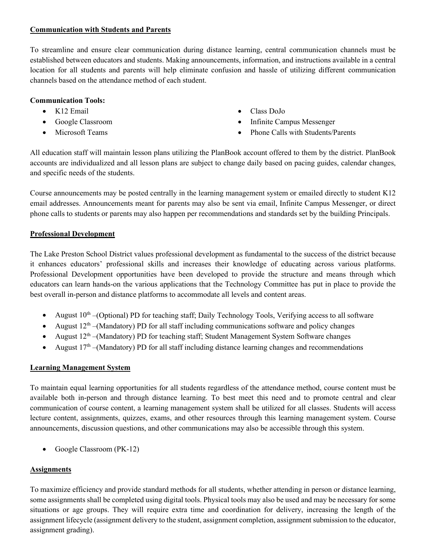## **Communication with Students and Parents**

To streamline and ensure clear communication during distance learning, central communication channels must be established between educators and students. Making announcements, information, and instructions available in a central location for all students and parents will help eliminate confusion and hassle of utilizing different communication channels based on the attendance method of each student.

## **Communication Tools:**

- K12 Email
- Google Classroom
- Microsoft Teams
- Class DoJo
- Infinite Campus Messenger
- Phone Calls with Students/Parents

All education staff will maintain lesson plans utilizing the PlanBook account offered to them by the district. PlanBook accounts are individualized and all lesson plans are subject to change daily based on pacing guides, calendar changes, and specific needs of the students.

Course announcements may be posted centrally in the learning management system or emailed directly to student K12 email addresses. Announcements meant for parents may also be sent via email, Infinite Campus Messenger, or direct phone calls to students or parents may also happen per recommendations and standards set by the building Principals.

## **Professional Development**

The Lake Preston School District values professional development as fundamental to the success of the district because it enhances educators' professional skills and increases their knowledge of educating across various platforms. Professional Development opportunities have been developed to provide the structure and means through which educators can learn hands-on the various applications that the Technology Committee has put in place to provide the best overall in-person and distance platforms to accommodate all levels and content areas.

- August  $10^{th}$  –(Optional) PD for teaching staff; Daily Technology Tools, Verifying access to all software
- August  $12<sup>th</sup>$  –(Mandatory) PD for all staff including communications software and policy changes
- August  $12<sup>th</sup>$  –(Mandatory) PD for teaching staff; Student Management System Software changes
- August  $17<sup>th</sup>$  –(Mandatory) PD for all staff including distance learning changes and recommendations

# **Learning Management System**

To maintain equal learning opportunities for all students regardless of the attendance method, course content must be available both in-person and through distance learning. To best meet this need and to promote central and clear communication of course content, a learning management system shall be utilized for all classes. Students will access lecture content, assignments, quizzes, exams, and other resources through this learning management system. Course announcements, discussion questions, and other communications may also be accessible through this system.

• Google Classroom (PK-12)

# **Assignments**

To maximize efficiency and provide standard methods for all students, whether attending in person or distance learning, some assignments shall be completed using digital tools. Physical tools may also be used and may be necessary for some situations or age groups. They will require extra time and coordination for delivery, increasing the length of the assignment lifecycle (assignment delivery to the student, assignment completion, assignment submission to the educator, assignment grading).